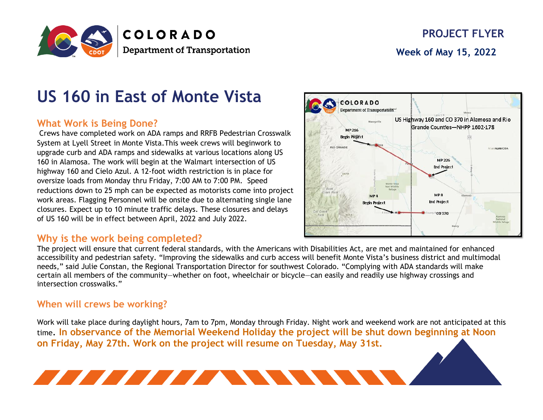

# **US 160 in East of Monte Vista**

# **What Work is Being Done?**

Crews have completed work on ADA ramps and RRFB Pedestrian Crosswalk System at Lyell Street in Monte Vista.This week crews will beginwork to upgrade curb and ADA ramps and sidewalks at various locations along US 160 in Alamosa. The work will begin at the Walmart intersection of US highway 160 and Cielo Azul. A 12-foot width restriction is in place for oversize loads from Monday thru Friday, 7:00 AM to 7:00 PM. Speed reductions down to 25 mph can be expected as motorists come into project work areas. Flagging Personnel will be onsite due to alternating single lane closures. Expect up to 10 minute traffic delays. These closures and delays of US 160 will be in effect between April, 2022 and July 2022.

**A MARIA MARIA A MARIA A MARIA A MARIA A MARIA A MARIA A MARIA A MARIA A MARIA A MARIA A MARIA A MARIA A MARIA** 

### **Why is the work being completed?**

COLORADO Department of Transportation<sup>ul</sup> US Highway 160 and CO 370 in Alamosa and Rio Grande Counties-NHPP 1602-178 MP 216 Begin Project **RIO GRANDE AlanALAMOSA MP 226 End Project MPR** MP<sub>4</sub> **End Project Begin Project** 1001370

The project will ensure that current federal standards, with the Americans with Disabilities Act, are met and maintained for enhanced accessibility and pedestrian safety. "Improving the sidewalks and curb access will benefit Monte Vista's business district and multimodal needs," said Julie Constan, the Regional Transportation Director for southwest Colorado. "Complying with ADA standards will make certain all members of the community—whether on foot, wheelchair or bicycle—can easily and readily use highway crossings and intersection crosswalks."

#### **When will crews be working?**

Work will take place during daylight hours, 7am to 7pm, Monday through Friday. Night work and weekend work are not anticipated at this time. **In observance of the Memorial Weekend Holiday the project will be shut down beginning at Noon on Friday, May 27th. Work on the project will resume on Tuesday, May 31st.**